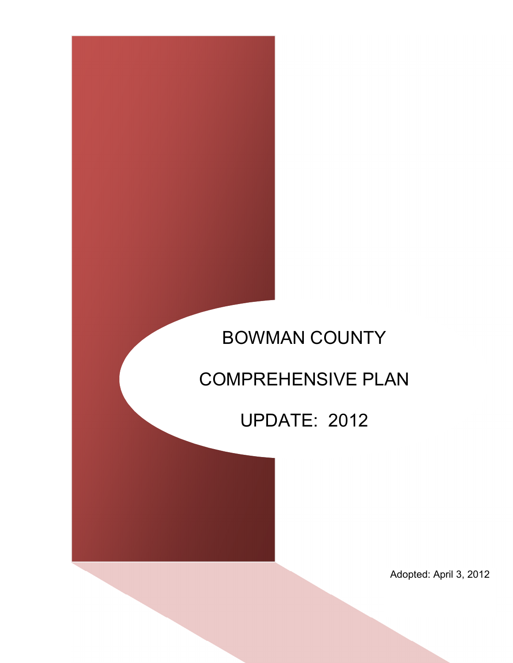# BOWMAN COUNTY

# COMPREHENSIVE PLAN

# UPDATE: 2012

Adopted: April 3, 2012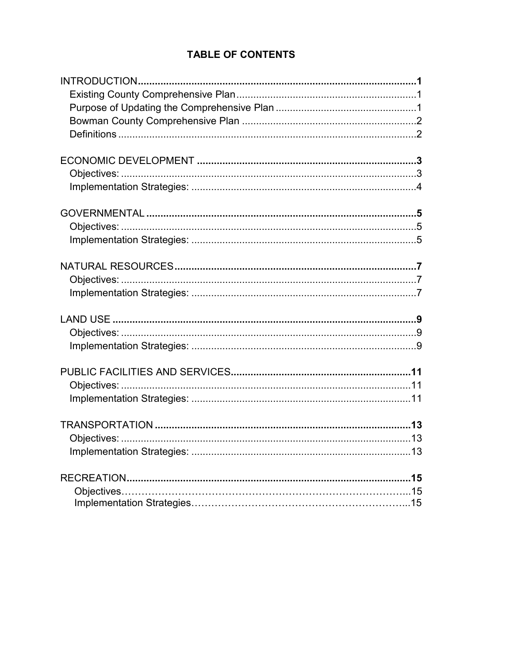## **TABLE OF CONTENTS**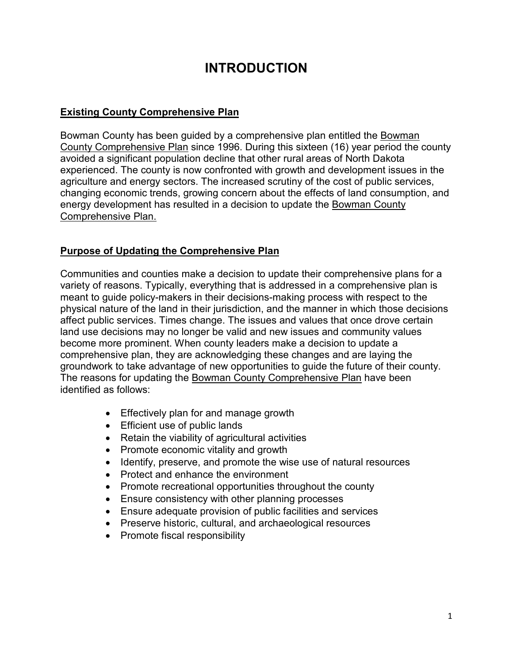# **INTRODUCTION**

### **Existing County Comprehensive Plan**

Bowman County has been guided by a comprehensive plan entitled the Bowman County Comprehensive Plan since 1996. During this sixteen (16) year period the county avoided a significant population decline that other rural areas of North Dakota experienced. The county is now confronted with growth and development issues in the agriculture and energy sectors. The increased scrutiny of the cost of public services, changing economic trends, growing concern about the effects of land consumption, and energy development has resulted in a decision to update the Bowman County Comprehensive Plan.

## **Purpose of Updating the Comprehensive Plan**

Communities and counties make a decision to update their comprehensive plans for a variety of reasons. Typically, everything that is addressed in a comprehensive plan is meant to guide policy-makers in their decisions-making process with respect to the physical nature of the land in their jurisdiction, and the manner in which those decisions affect public services. Times change. The issues and values that once drove certain land use decisions may no longer be valid and new issues and community values become more prominent. When county leaders make a decision to update a comprehensive plan, they are acknowledging these changes and are laying the groundwork to take advantage of new opportunities to guide the future of their county. The reasons for updating the Bowman County Comprehensive Plan have been identified as follows:

- Effectively plan for and manage growth
- Efficient use of public lands
- Retain the viability of agricultural activities
- Promote economic vitality and growth
- Identify, preserve, and promote the wise use of natural resources
- Protect and enhance the environment
- Promote recreational opportunities throughout the county
- Ensure consistency with other planning processes
- Ensure adequate provision of public facilities and services
- Preserve historic, cultural, and archaeological resources
- Promote fiscal responsibility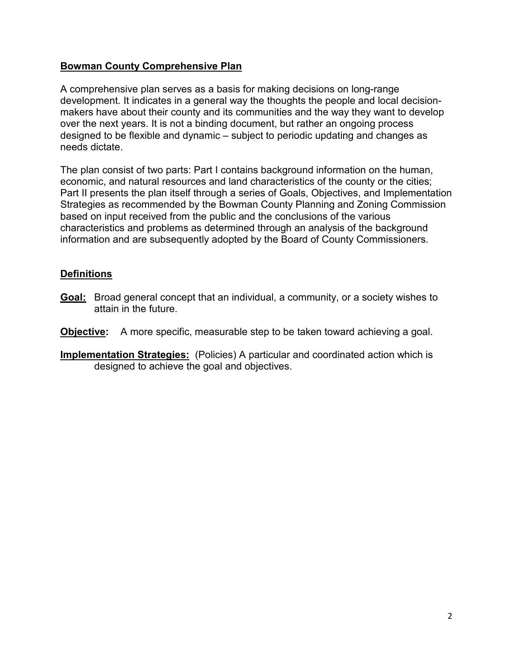#### **Bowman County Comprehensive Plan**

A comprehensive plan serves as a basis for making decisions on long-range development. It indicates in a general way the thoughts the people and local decisionmakers have about their county and its communities and the way they want to develop over the next years. It is not a binding document, but rather an ongoing process designed to be flexible and dynamic – subject to periodic updating and changes as needs dictate.

The plan consist of two parts: Part I contains background information on the human, economic, and natural resources and land characteristics of the county or the cities; Part II presents the plan itself through a series of Goals, Objectives, and Implementation Strategies as recommended by the Bowman County Planning and Zoning Commission based on input received from the public and the conclusions of the various characteristics and problems as determined through an analysis of the background information and are subsequently adopted by the Board of County Commissioners.

### **Definitions**

- **Goal:** Broad general concept that an individual, a community, or a society wishes to attain in the future.
- **Objective:** A more specific, measurable step to be taken toward achieving a goal.
- **Implementation Strategies:** (Policies) A particular and coordinated action which is designed to achieve the goal and objectives.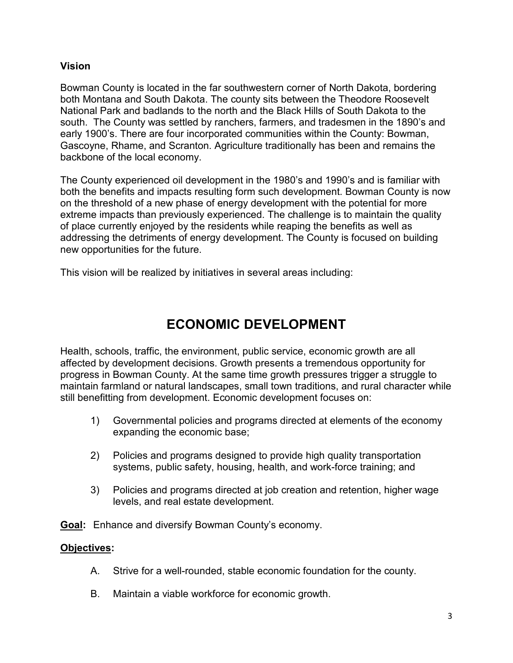#### **Vision**

Bowman County is located in the far southwestern corner of North Dakota, bordering both Montana and South Dakota. The county sits between the Theodore Roosevelt National Park and badlands to the north and the Black Hills of South Dakota to the south. The County was settled by ranchers, farmers, and tradesmen in the 1890's and early 1900's. There are four incorporated communities within the County: Bowman, Gascoyne, Rhame, and Scranton. Agriculture traditionally has been and remains the backbone of the local economy.

The County experienced oil development in the 1980's and 1990's and is familiar with both the benefits and impacts resulting form such development. Bowman County is now on the threshold of a new phase of energy development with the potential for more extreme impacts than previously experienced. The challenge is to maintain the quality of place currently enjoyed by the residents while reaping the benefits as well as addressing the detriments of energy development. The County is focused on building new opportunities for the future.

This vision will be realized by initiatives in several areas including:

# **ECONOMIC DEVELOPMENT**

Health, schools, traffic, the environment, public service, economic growth are all affected by development decisions. Growth presents a tremendous opportunity for progress in Bowman County. At the same time growth pressures trigger a struggle to maintain farmland or natural landscapes, small town traditions, and rural character while still benefitting from development. Economic development focuses on:

- 1) Governmental policies and programs directed at elements of the economy expanding the economic base;
- 2) Policies and programs designed to provide high quality transportation systems, public safety, housing, health, and work-force training; and
- 3) Policies and programs directed at job creation and retention, higher wage levels, and real estate development.

**Goal:** Enhance and diversify Bowman County's economy.

### **Objectives:**

- A. Strive for a well-rounded, stable economic foundation for the county.
- B. Maintain a viable workforce for economic growth.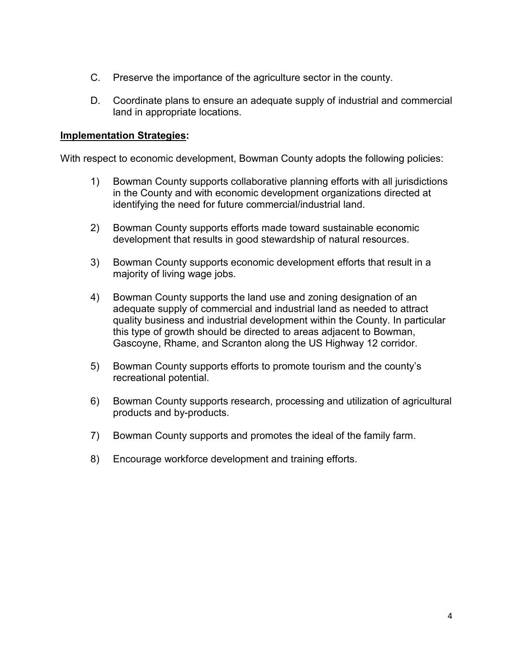- C. Preserve the importance of the agriculture sector in the county.
- D. Coordinate plans to ensure an adequate supply of industrial and commercial land in appropriate locations.

#### **Implementation Strategies:**

With respect to economic development, Bowman County adopts the following policies:

- 1) Bowman County supports collaborative planning efforts with all jurisdictions in the County and with economic development organizations directed at identifying the need for future commercial/industrial land.
- 2) Bowman County supports efforts made toward sustainable economic development that results in good stewardship of natural resources.
- 3) Bowman County supports economic development efforts that result in a majority of living wage jobs.
- 4) Bowman County supports the land use and zoning designation of an adequate supply of commercial and industrial land as needed to attract quality business and industrial development within the County. In particular this type of growth should be directed to areas adjacent to Bowman, Gascoyne, Rhame, and Scranton along the US Highway 12 corridor.
- 5) Bowman County supports efforts to promote tourism and the county's recreational potential.
- 6) Bowman County supports research, processing and utilization of agricultural products and by-products.
- 7) Bowman County supports and promotes the ideal of the family farm.
- 8) Encourage workforce development and training efforts.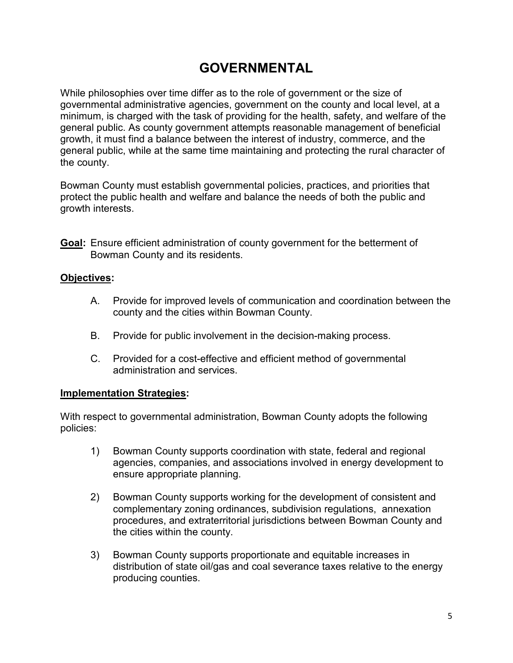# **GOVERNMENTAL**

While philosophies over time differ as to the role of government or the size of governmental administrative agencies, government on the county and local level, at a minimum, is charged with the task of providing for the health, safety, and welfare of the general public. As county government attempts reasonable management of beneficial growth, it must find a balance between the interest of industry, commerce, and the general public, while at the same time maintaining and protecting the rural character of the county.

Bowman County must establish governmental policies, practices, and priorities that protect the public health and welfare and balance the needs of both the public and growth interests.

**Goal:** Ensure efficient administration of county government for the betterment of Bowman County and its residents.

#### **Objectives:**

- A. Provide for improved levels of communication and coordination between the county and the cities within Bowman County.
- B. Provide for public involvement in the decision-making process.
- C. Provided for a cost-effective and efficient method of governmental administration and services.

### **Implementation Strategies:**

With respect to governmental administration, Bowman County adopts the following policies:

- 1) Bowman County supports coordination with state, federal and regional agencies, companies, and associations involved in energy development to ensure appropriate planning.
- 2) Bowman County supports working for the development of consistent and complementary zoning ordinances, subdivision regulations, annexation procedures, and extraterritorial jurisdictions between Bowman County and the cities within the county.
- 3) Bowman County supports proportionate and equitable increases in distribution of state oil/gas and coal severance taxes relative to the energy producing counties.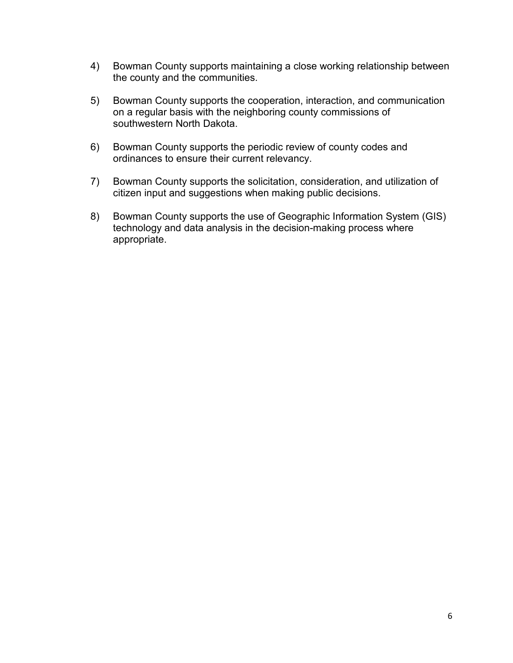- 4) Bowman County supports maintaining a close working relationship between the county and the communities.
- 5) Bowman County supports the cooperation, interaction, and communication on a regular basis with the neighboring county commissions of southwestern North Dakota.
- 6) Bowman County supports the periodic review of county codes and ordinances to ensure their current relevancy.
- 7) Bowman County supports the solicitation, consideration, and utilization of citizen input and suggestions when making public decisions.
- 8) Bowman County supports the use of Geographic Information System (GIS) technology and data analysis in the decision-making process where appropriate.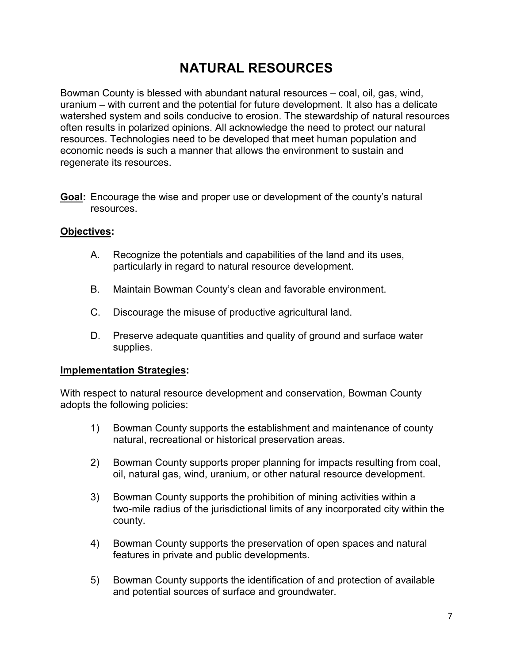# **NATURAL RESOURCES**

Bowman County is blessed with abundant natural resources – coal, oil, gas, wind, uranium – with current and the potential for future development. It also has a delicate watershed system and soils conducive to erosion. The stewardship of natural resources often results in polarized opinions. All acknowledge the need to protect our natural resources. Technologies need to be developed that meet human population and economic needs is such a manner that allows the environment to sustain and regenerate its resources.

**Goal:** Encourage the wise and proper use or development of the county's natural resources.

#### **Objectives:**

- A. Recognize the potentials and capabilities of the land and its uses, particularly in regard to natural resource development.
- B. Maintain Bowman County's clean and favorable environment.
- C. Discourage the misuse of productive agricultural land.
- D. Preserve adequate quantities and quality of ground and surface water supplies.

#### **Implementation Strategies:**

With respect to natural resource development and conservation, Bowman County adopts the following policies:

- 1) Bowman County supports the establishment and maintenance of county natural, recreational or historical preservation areas.
- 2) Bowman County supports proper planning for impacts resulting from coal, oil, natural gas, wind, uranium, or other natural resource development.
- 3) Bowman County supports the prohibition of mining activities within a two-mile radius of the jurisdictional limits of any incorporated city within the county.
- 4) Bowman County supports the preservation of open spaces and natural features in private and public developments.
- 5) Bowman County supports the identification of and protection of available and potential sources of surface and groundwater.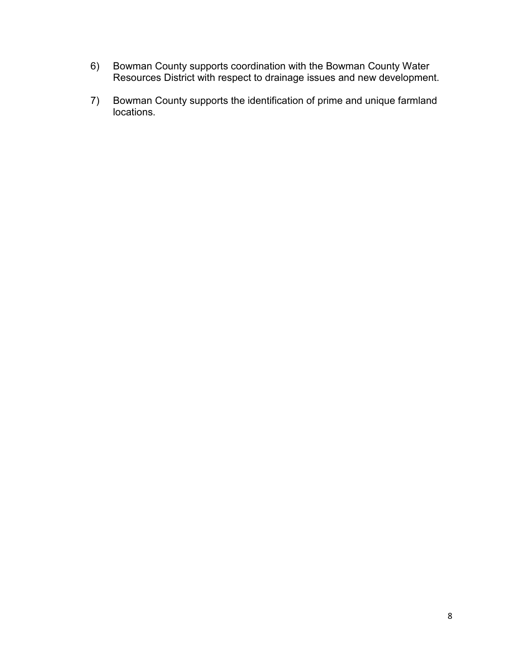- 6) Bowman County supports coordination with the Bowman County Water Resources District with respect to drainage issues and new development.
- 7) Bowman County supports the identification of prime and unique farmland locations.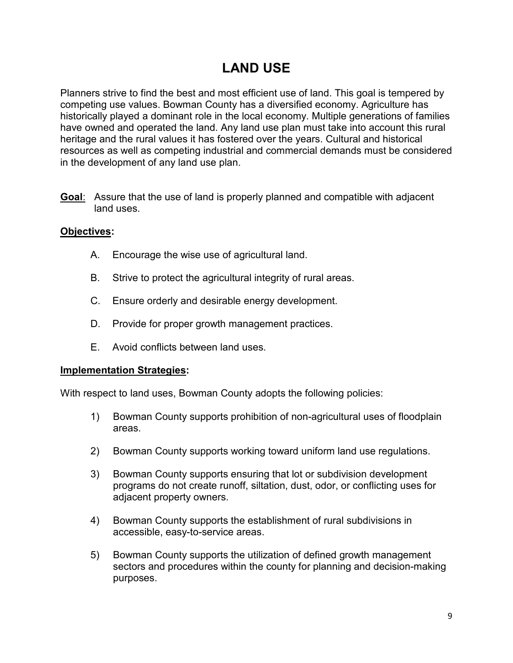# **LAND USE**

Planners strive to find the best and most efficient use of land. This goal is tempered by competing use values. Bowman County has a diversified economy. Agriculture has historically played a dominant role in the local economy. Multiple generations of families have owned and operated the land. Any land use plan must take into account this rural heritage and the rural values it has fostered over the years. Cultural and historical resources as well as competing industrial and commercial demands must be considered in the development of any land use plan.

**Goal**: Assure that the use of land is properly planned and compatible with adjacent land uses.

### **Objectives:**

- A. Encourage the wise use of agricultural land.
- B. Strive to protect the agricultural integrity of rural areas.
- C. Ensure orderly and desirable energy development.
- D. Provide for proper growth management practices.
- E. Avoid conflicts between land uses.

### **Implementation Strategies:**

With respect to land uses, Bowman County adopts the following policies:

- 1) Bowman County supports prohibition of non-agricultural uses of floodplain areas.
- 2) Bowman County supports working toward uniform land use regulations.
- 3) Bowman County supports ensuring that lot or subdivision development programs do not create runoff, siltation, dust, odor, or conflicting uses for adjacent property owners.
- 4) Bowman County supports the establishment of rural subdivisions in accessible, easy-to-service areas.
- 5) Bowman County supports the utilization of defined growth management sectors and procedures within the county for planning and decision-making purposes.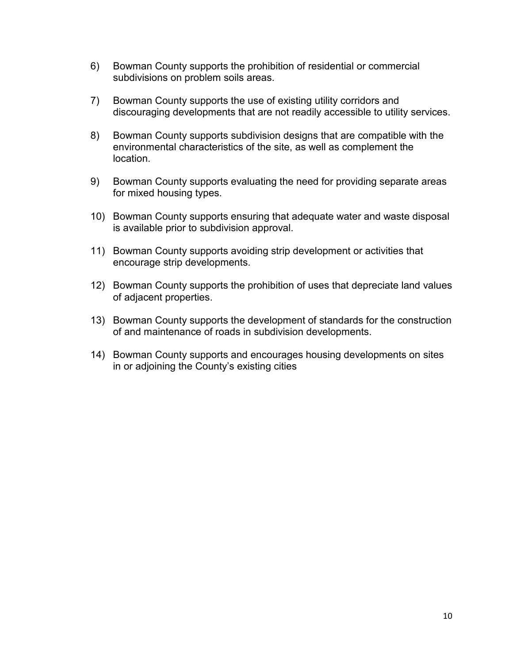- 6) Bowman County supports the prohibition of residential or commercial subdivisions on problem soils areas.
- 7) Bowman County supports the use of existing utility corridors and discouraging developments that are not readily accessible to utility services.
- 8) Bowman County supports subdivision designs that are compatible with the environmental characteristics of the site, as well as complement the location.
- 9) Bowman County supports evaluating the need for providing separate areas for mixed housing types.
- 10) Bowman County supports ensuring that adequate water and waste disposal is available prior to subdivision approval.
- 11) Bowman County supports avoiding strip development or activities that encourage strip developments.
- 12) Bowman County supports the prohibition of uses that depreciate land values of adjacent properties.
- 13) Bowman County supports the development of standards for the construction of and maintenance of roads in subdivision developments.
- 14) Bowman County supports and encourages housing developments on sites in or adjoining the County's existing cities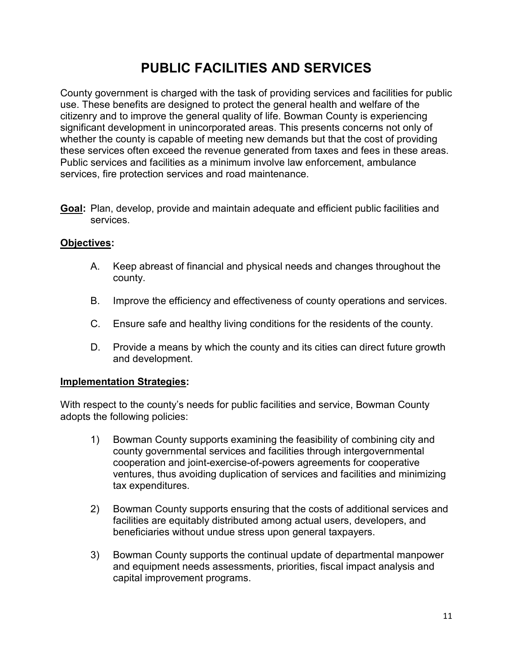# **PUBLIC FACILITIES AND SERVICES**

County government is charged with the task of providing services and facilities for public use. These benefits are designed to protect the general health and welfare of the citizenry and to improve the general quality of life. Bowman County is experiencing significant development in unincorporated areas. This presents concerns not only of whether the county is capable of meeting new demands but that the cost of providing these services often exceed the revenue generated from taxes and fees in these areas. Public services and facilities as a minimum involve law enforcement, ambulance services, fire protection services and road maintenance.

**Goal:** Plan, develop, provide and maintain adequate and efficient public facilities and services.

### **Objectives:**

- A. Keep abreast of financial and physical needs and changes throughout the county.
- B. Improve the efficiency and effectiveness of county operations and services.
- C. Ensure safe and healthy living conditions for the residents of the county.
- D. Provide a means by which the county and its cities can direct future growth and development.

#### **Implementation Strategies:**

With respect to the county's needs for public facilities and service, Bowman County adopts the following policies:

- 1) Bowman County supports examining the feasibility of combining city and county governmental services and facilities through intergovernmental cooperation and joint-exercise-of-powers agreements for cooperative ventures, thus avoiding duplication of services and facilities and minimizing tax expenditures.
- 2) Bowman County supports ensuring that the costs of additional services and facilities are equitably distributed among actual users, developers, and beneficiaries without undue stress upon general taxpayers.
- 3) Bowman County supports the continual update of departmental manpower and equipment needs assessments, priorities, fiscal impact analysis and capital improvement programs.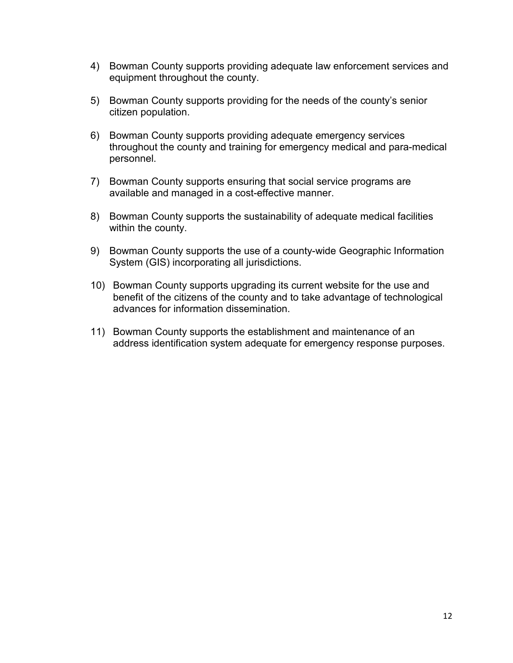- 4) Bowman County supports providing adequate law enforcement services and equipment throughout the county.
- 5) Bowman County supports providing for the needs of the county's senior citizen population.
- 6) Bowman County supports providing adequate emergency services throughout the county and training for emergency medical and para-medical personnel.
- 7) Bowman County supports ensuring that social service programs are available and managed in a cost-effective manner.
- 8) Bowman County supports the sustainability of adequate medical facilities within the county.
- 9) Bowman County supports the use of a county-wide Geographic Information System (GIS) incorporating all jurisdictions.
- 10) Bowman County supports upgrading its current website for the use and benefit of the citizens of the county and to take advantage of technological advances for information dissemination.
- 11) Bowman County supports the establishment and maintenance of an address identification system adequate for emergency response purposes.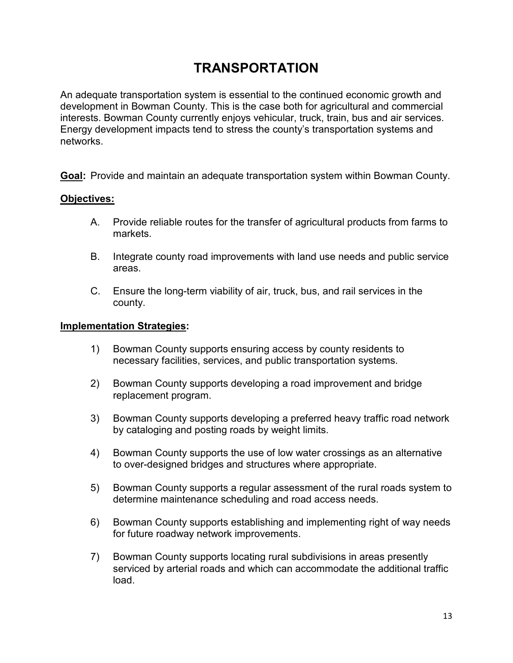# **TRANSPORTATION**

An adequate transportation system is essential to the continued economic growth and development in Bowman County. This is the case both for agricultural and commercial interests. Bowman County currently enjoys vehicular, truck, train, bus and air services. Energy development impacts tend to stress the county's transportation systems and networks.

**Goal:** Provide and maintain an adequate transportation system within Bowman County.

#### **Objectives:**

- A. Provide reliable routes for the transfer of agricultural products from farms to markets.
- B. Integrate county road improvements with land use needs and public service areas.
- C. Ensure the long-term viability of air, truck, bus, and rail services in the county.

#### **Implementation Strategies:**

- 1) Bowman County supports ensuring access by county residents to necessary facilities, services, and public transportation systems.
- 2) Bowman County supports developing a road improvement and bridge replacement program.
- 3) Bowman County supports developing a preferred heavy traffic road network by cataloging and posting roads by weight limits.
- 4) Bowman County supports the use of low water crossings as an alternative to over-designed bridges and structures where appropriate.
- 5) Bowman County supports a regular assessment of the rural roads system to determine maintenance scheduling and road access needs.
- 6) Bowman County supports establishing and implementing right of way needs for future roadway network improvements.
- 7) Bowman County supports locating rural subdivisions in areas presently serviced by arterial roads and which can accommodate the additional traffic load.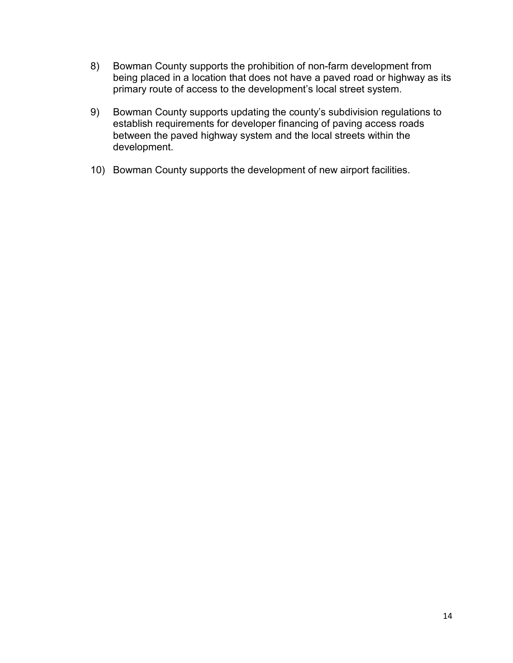- 8) Bowman County supports the prohibition of non-farm development from being placed in a location that does not have a paved road or highway as its primary route of access to the development's local street system.
- 9) Bowman County supports updating the county's subdivision regulations to establish requirements for developer financing of paving access roads between the paved highway system and the local streets within the development.
- 10) Bowman County supports the development of new airport facilities.